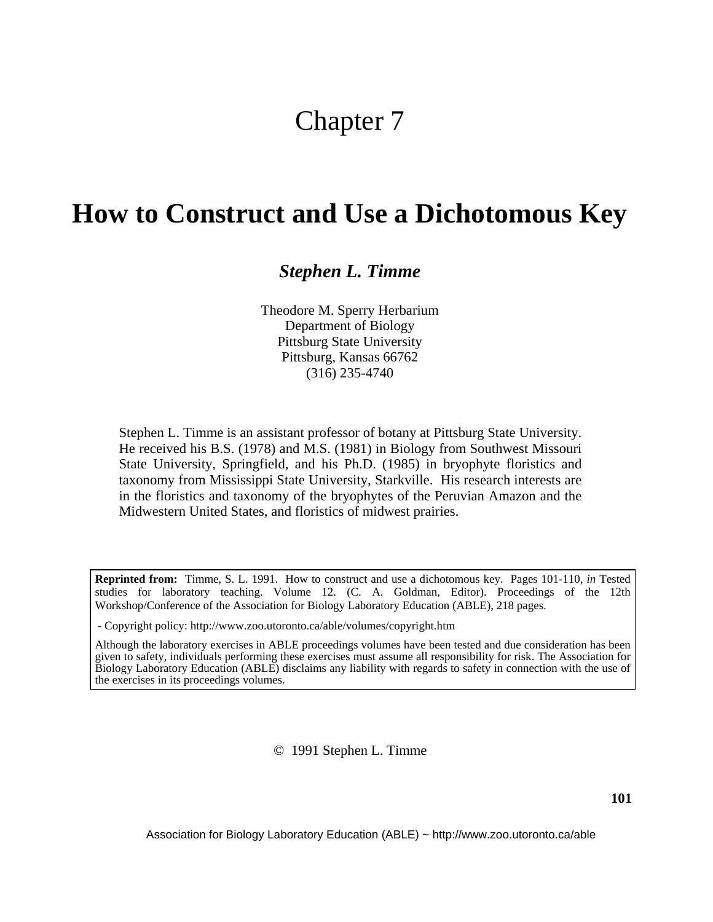# Chapter 7

# **How to Construct and Use a Dichotomous Key**

### *Stephen L. Timme*

Theodore M. Sperry Herbarium Department of Biology Pittsburg State University Pittsburg, Kansas 66762 (316) 235-4740

Stephen L. Timme is an assistant professor of botany at Pittsburg State University. He received his B.S. (1978) and M.S. (1981) in Biology from Southwest Missouri State University, Springfield, and his Ph.D. (1985) in bryophyte floristics and taxonomy from Mississippi State University, Starkville. His research interests are in the floristics and taxonomy of the bryophytes of the Peruvian Amazon and the Midwestern United States, and floristics of midwest prairies.

**Reprinted from:** Timme, S. L. 1991. How to construct and use a dichotomous key. Pages 101-110, *in* Tested studies for laboratory teaching. Volume 12. (C. A. Goldman, Editor). Proceedings of the 12th Workshop/Conference of the Association for Biology Laboratory Education (ABLE), 218 pages.

- Copyright policy: http://www.zoo.utoronto.ca/able/volumes/copyright.htm

Although the laboratory exercises in ABLE proceedings volumes have been tested and due consideration has been given to safety, individuals performing these exercises must assume all responsibility for risk. The Association for Biology Laboratory Education (ABLE) disclaims any liability with regards to safety in connection with the use of the exercises in its proceedings volumes.

© 1991 Stephen L. Timme

Association for Biology Laboratory Education (ABLE) ~ http://www.zoo.utoronto.ca/able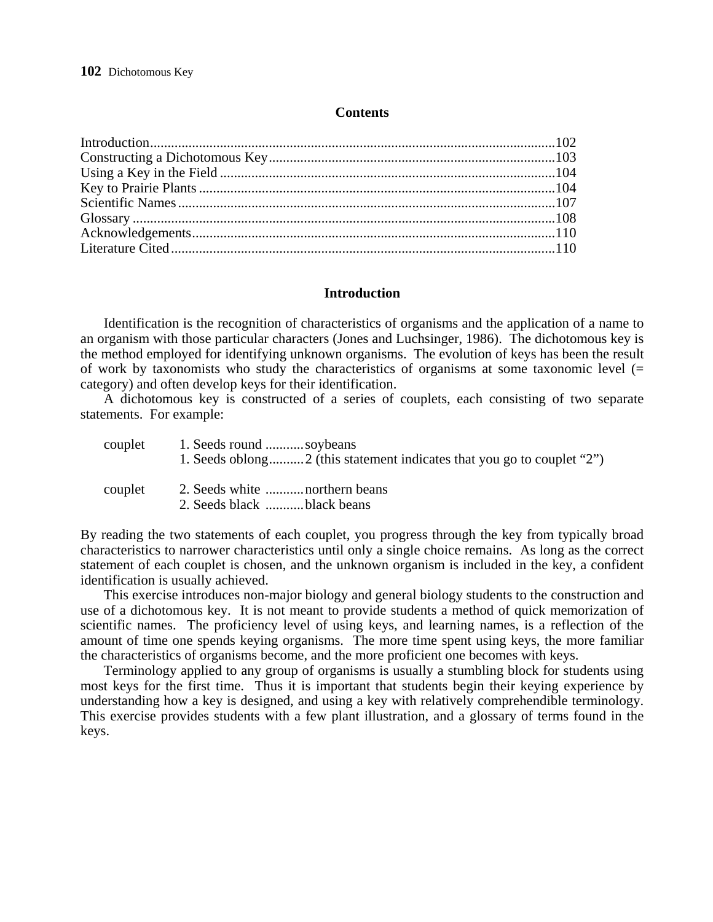#### **Contents**

#### **Introduction**

 Identification is the recognition of characteristics of organisms and the application of a name to an organism with those particular characters (Jones and Luchsinger, 1986). The dichotomous key is the method employed for identifying unknown organisms. The evolution of keys has been the result of work by taxonomists who study the characteristics of organisms at some taxonomic level  $(=$ category) and often develop keys for their identification.

 A dichotomous key is constructed of a series of couplets, each consisting of two separate statements. For example:

| couplet | 1. Seeds round soybeans |
|---------|-------------------------|
|         |                         |

- couplet 2. Seeds white ...........northern beans
	- 2. Seeds black ...........black beans

By reading the two statements of each couplet, you progress through the key from typically broad characteristics to narrower characteristics until only a single choice remains. As long as the correct statement of each couplet is chosen, and the unknown organism is included in the key, a confident identification is usually achieved.

 This exercise introduces non-major biology and general biology students to the construction and use of a dichotomous key. It is not meant to provide students a method of quick memorization of scientific names. The proficiency level of using keys, and learning names, is a reflection of the amount of time one spends keying organisms. The more time spent using keys, the more familiar the characteristics of organisms become, and the more proficient one becomes with keys.

 Terminology applied to any group of organisms is usually a stumbling block for students using most keys for the first time. Thus it is important that students begin their keying experience by understanding how a key is designed, and using a key with relatively comprehendible terminology. This exercise provides students with a few plant illustration, and a glossary of terms found in the keys.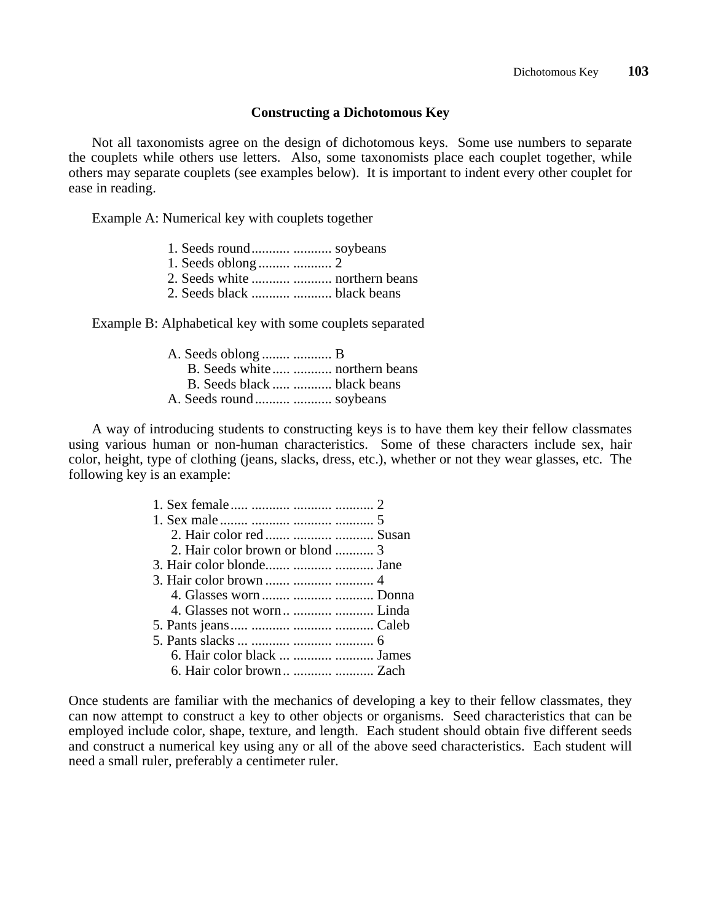#### **Constructing a Dichotomous Key**

 Not all taxonomists agree on the design of dichotomous keys. Some use numbers to separate the couplets while others use letters. Also, some taxonomists place each couplet together, while others may separate couplets (see examples below). It is important to indent every other couplet for ease in reading.

Example A: Numerical key with couplets together

- 1. Seeds round........... ........... soybeans
- 1. Seeds oblong ......... ........... 2
- 2. Seeds white ........... ........... northern beans
- 2. Seeds black ........... ........... black beans

Example B: Alphabetical key with some couplets separated

| A. Seeds oblong   B             |  |
|---------------------------------|--|
| B. Seeds white   northern beans |  |
| B. Seeds black   black beans    |  |
|                                 |  |

 A way of introducing students to constructing keys is to have them key their fellow classmates using various human or non-human characteristics. Some of these characters include sex, hair color, height, type of clothing (jeans, slacks, dress, etc.), whether or not they wear glasses, etc. The following key is an example:

| 2. Hair color red    Susan      |  |
|---------------------------------|--|
| 2. Hair color brown or blond  3 |  |
|                                 |  |
|                                 |  |
| 4. Glasses worn    Donna        |  |
|                                 |  |
|                                 |  |
|                                 |  |
| 6. Hair color black    James    |  |
|                                 |  |

Once students are familiar with the mechanics of developing a key to their fellow classmates, they can now attempt to construct a key to other objects or organisms. Seed characteristics that can be employed include color, shape, texture, and length. Each student should obtain five different seeds and construct a numerical key using any or all of the above seed characteristics. Each student will need a small ruler, preferably a centimeter ruler.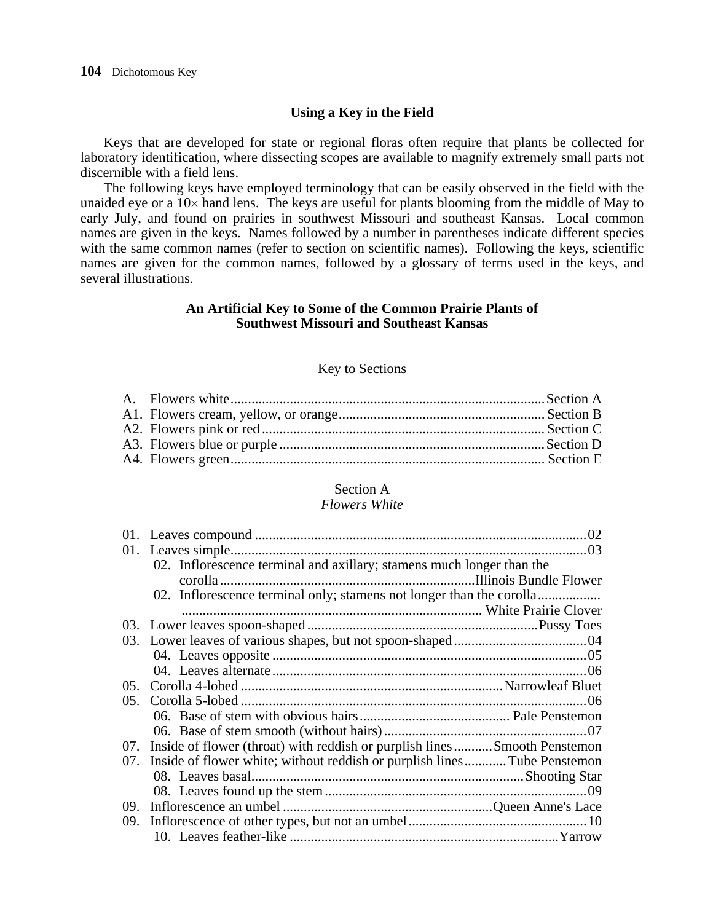#### **Using a Key in the Field**

 Keys that are developed for state or regional floras often require that plants be collected for laboratory identification, where dissecting scopes are available to magnify extremely small parts not discernible with a field lens.

 The following keys have employed terminology that can be easily observed in the field with the unaided eye or a 10× hand lens. The keys are useful for plants blooming from the middle of May to early July, and found on prairies in southwest Missouri and southeast Kansas. Local common names are given in the keys. Names followed by a number in parentheses indicate different species with the same common names (refer to section on scientific names). Following the keys, scientific names are given for the common names, followed by a glossary of terms used in the keys, and several illustrations.

#### **An Artificial Key to Some of the Common Prairie Plants of Southwest Missouri and Southeast Kansas**

#### Key to Sections

#### Section A

#### *Flowers White*

|         | 02. Inflorescence terminal and axillary; stamens much longer than the         |  |
|---------|-------------------------------------------------------------------------------|--|
|         | 02. Inflorescence terminal only; stamens not longer than the corolla          |  |
|         |                                                                               |  |
|         |                                                                               |  |
|         |                                                                               |  |
|         |                                                                               |  |
|         |                                                                               |  |
|         |                                                                               |  |
| $0.5$ . |                                                                               |  |
|         |                                                                               |  |
|         |                                                                               |  |
|         | 07. Inside of flower (throat) with reddish or purplish lines Smooth Penstemon |  |
|         | 07. Inside of flower white; without reddish or purplish lines Tube Penstemon  |  |
|         |                                                                               |  |
|         |                                                                               |  |
|         |                                                                               |  |
|         |                                                                               |  |
|         |                                                                               |  |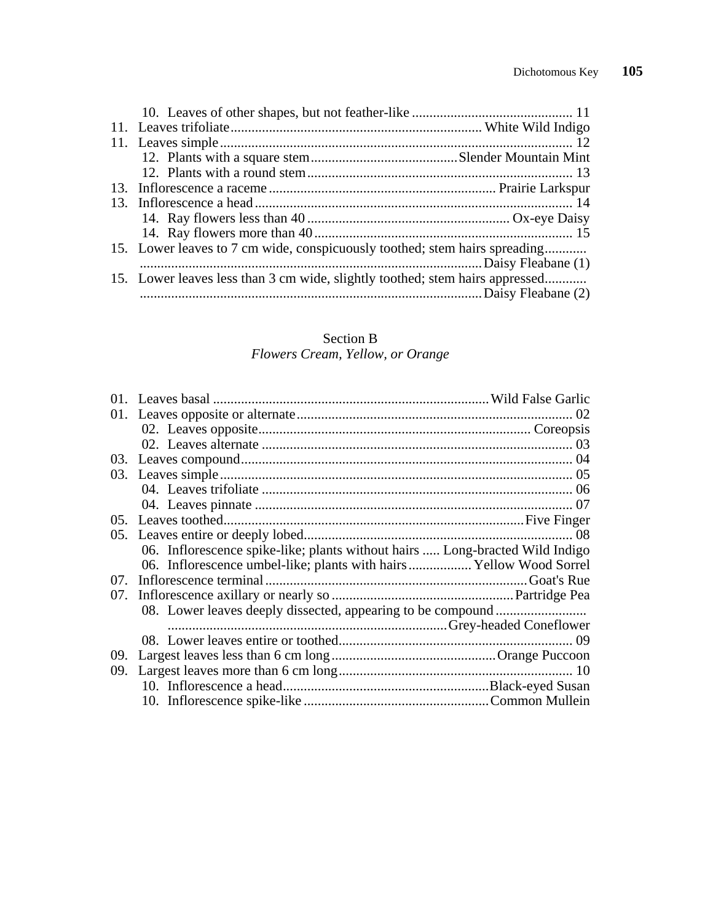| 15. Lower leaves to 7 cm wide, conspicuously toothed; stem hairs spreading   |  |
|------------------------------------------------------------------------------|--|
|                                                                              |  |
| 15. Lower leaves less than 3 cm wide, slightly toothed; stem hairs appressed |  |
|                                                                              |  |
|                                                                              |  |

#### Section B  *Flowers Cream, Yellow, or Orange*

|     | 06. Inflorescence spike-like; plants without hairs  Long-bracted Wild Indigo |  |
|-----|------------------------------------------------------------------------------|--|
|     | 06. Inflorescence umbel-like; plants with hairs Yellow Wood Sorrel           |  |
| 07. |                                                                              |  |
|     |                                                                              |  |
|     |                                                                              |  |
|     |                                                                              |  |
|     |                                                                              |  |
|     |                                                                              |  |
|     |                                                                              |  |
|     |                                                                              |  |
|     |                                                                              |  |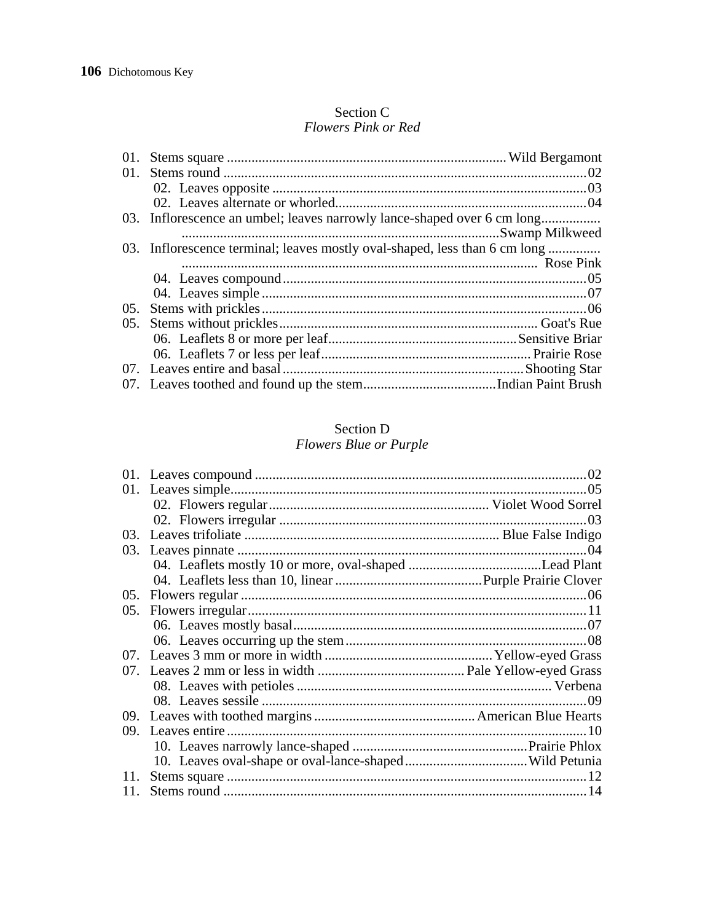#### Section C Flowers Pink or Red

| 01.     |                                                                            |  |
|---------|----------------------------------------------------------------------------|--|
|         |                                                                            |  |
|         |                                                                            |  |
|         |                                                                            |  |
|         | 03. Inflorescence an umbel; leaves narrowly lance-shaped over 6 cm long    |  |
|         |                                                                            |  |
|         | 03. Inflorescence terminal; leaves mostly oval-shaped, less than 6 cm long |  |
|         |                                                                            |  |
|         |                                                                            |  |
|         |                                                                            |  |
| $0.5$ . |                                                                            |  |
| 05.     |                                                                            |  |
|         |                                                                            |  |
|         |                                                                            |  |
|         |                                                                            |  |
|         |                                                                            |  |
|         |                                                                            |  |

# Section D<br>Flowers Blue or Purple

|                  | 02  |
|------------------|-----|
|                  | .05 |
|                  |     |
|                  | .03 |
|                  |     |
|                  | .04 |
|                  |     |
|                  |     |
| $0.5$ .          |     |
| 0.5 <sub>1</sub> |     |
|                  |     |
|                  |     |
|                  |     |
|                  |     |
|                  |     |
|                  | 09  |
|                  |     |
|                  |     |
|                  |     |
|                  |     |
| 11.              |     |
| 11.              |     |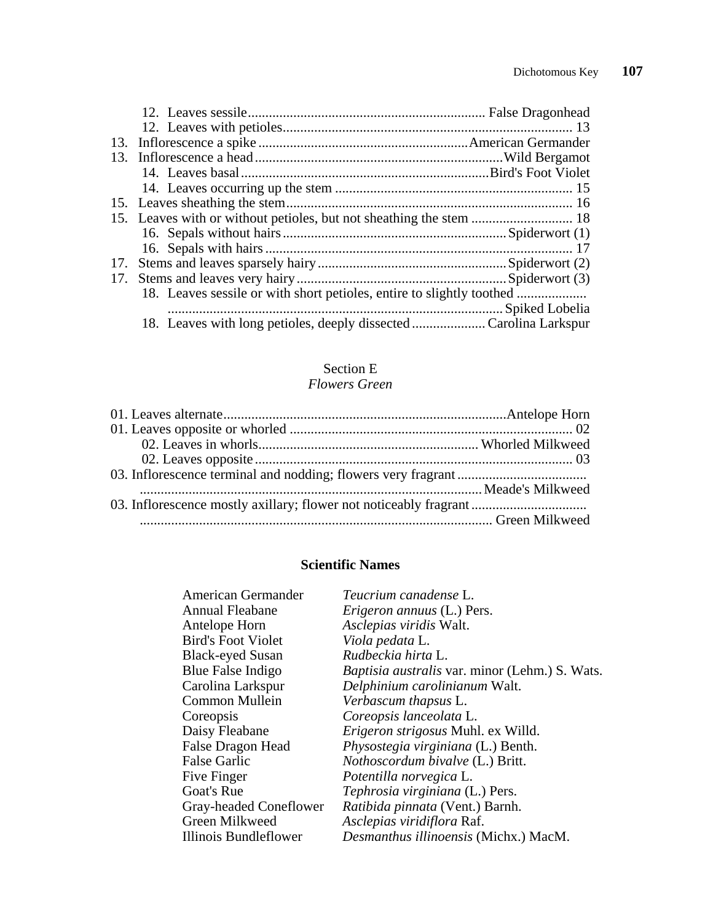| 17. |
|-----|

## Section E

#### *Flowers Green*

#### **Scientific Names**

| <b>American Germander</b> | Teucrium canadense L.                                 |
|---------------------------|-------------------------------------------------------|
| <b>Annual Fleabane</b>    | <i>Erigeron annuus</i> (L.) Pers.                     |
| Antelope Horn             | Asclepias viridis Walt.                               |
| <b>Bird's Foot Violet</b> | Viola pedata L.                                       |
| <b>Black-eyed Susan</b>   | Rudbeckia hirta L.                                    |
| Blue False Indigo         | <i>Baptisia australis var. minor (Lehm.) S. Wats.</i> |
| Carolina Larkspur         | Delphinium carolinianum Walt.                         |
| <b>Common Mullein</b>     | Verbascum thapsus L.                                  |
| Coreopsis                 | Coreopsis lanceolata L.                               |
| Daisy Fleabane            | Erigeron strigosus Muhl. ex Willd.                    |
| False Dragon Head         | Physostegia virginiana (L.) Benth.                    |
| <b>False Garlic</b>       | Nothoscordum bivalve (L.) Britt.                      |
| Five Finger               | Potentilla norvegica L.                               |
| Goat's Rue                | Tephrosia virginiana (L.) Pers.                       |
| Gray-headed Coneflower    | Ratibida pinnata (Vent.) Barnh.                       |
| Green Milkweed            | Asclepias viridiflora Raf.                            |
| Illinois Bundleflower     | Desmanthus illinoensis (Michx.) MacM.                 |
|                           |                                                       |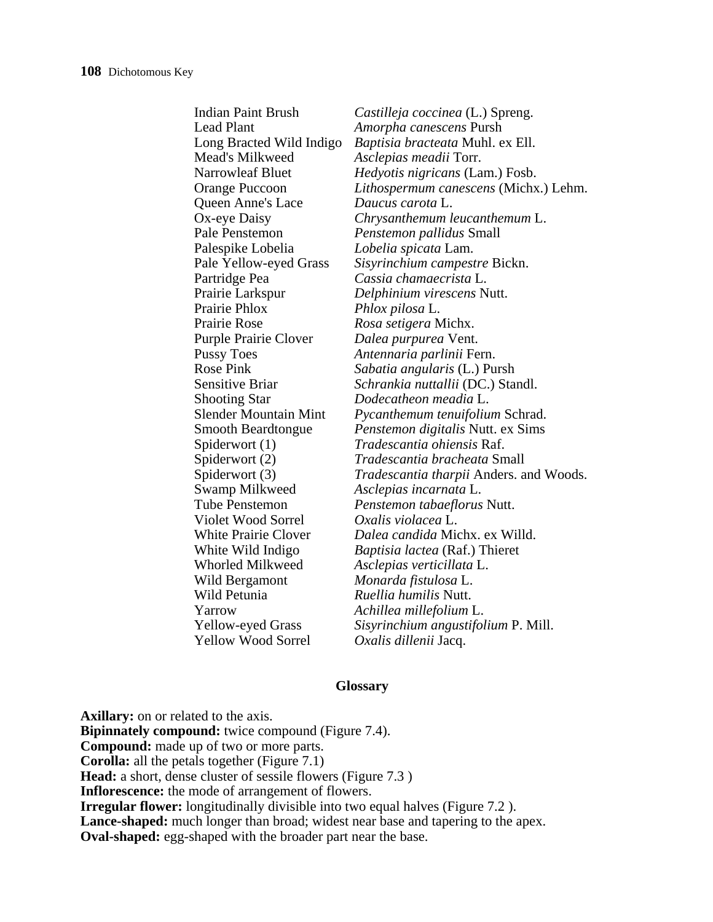| <b>Indian Paint Brush</b>    | Castilleja coccinea (L.) Spreng.               |
|------------------------------|------------------------------------------------|
| <b>Lead Plant</b>            | <i>Amorpha canescens</i> Pursh                 |
| Long Bracted Wild Indigo     | Baptisia bracteata Muhl. ex Ell.               |
| Mead's Milkweed              | Asclepias meadii Torr.                         |
| <b>Narrowleaf Bluet</b>      | Hedyotis nigricans (Lam.) Fosb.                |
| Orange Puccoon               | <i>Lithospermum canescens</i> (Michx.) Lehm.   |
| Queen Anne's Lace            | Daucus carota L.                               |
| Ox-eye Daisy                 | Chrysanthemum leucanthemum L.                  |
| Pale Penstemon               | <i>Penstemon pallidus</i> Small                |
| Palespike Lobelia            | Lobelia spicata Lam.                           |
| Pale Yellow-eyed Grass       | Sisyrinchium campestre Bickn.                  |
| Partridge Pea                | Cassia chamaecrista L.                         |
| Prairie Larkspur             | Delphinium virescens Nutt.                     |
| Prairie Phlox                | Phlox pilosa L.                                |
| Prairie Rose                 | Rosa setigera Michx.                           |
| <b>Purple Prairie Clover</b> | Dalea purpurea Vent.                           |
| <b>Pussy Toes</b>            | Antennaria parlinii Fern.                      |
| <b>Rose Pink</b>             | Sabatia angularis (L.) Pursh                   |
| <b>Sensitive Briar</b>       | <i>Schrankia nuttallii</i> (DC.) Standl.       |
| <b>Shooting Star</b>         | Dodecatheon meadia L.                          |
| <b>Slender Mountain Mint</b> | <i>Pycanthemum tenuifolium Schrad.</i>         |
| <b>Smooth Beardtongue</b>    | Penstemon digitalis Nutt. ex Sims              |
| Spiderwort (1)               | <i>Tradescantia ohiensis</i> Raf.              |
| Spiderwort (2)               | <i>Tradescantia bracheata Small</i>            |
| Spiderwort (3)               | <i>Tradescantia tharpii Anders. and Woods.</i> |
| Swamp Milkweed               | Asclepias incarnata L.                         |
| <b>Tube Penstemon</b>        | Penstemon tabaeflorus Nutt.                    |
| Violet Wood Sorrel           | Oxalis violacea L.                             |
| <b>White Prairie Clover</b>  | Dalea candida Michx. ex Willd.                 |
| White Wild Indigo            | Baptisia lactea (Raf.) Thieret                 |
| <b>Whorled Milkweed</b>      | Asclepias verticillata L.                      |
| Wild Bergamont               | Monarda fistulosa L.                           |
| Wild Petunia                 | Ruellia humilis Nutt.                          |
| Yarrow                       | Achillea millefolium L.                        |
| <b>Yellow-eyed Grass</b>     | Sisyrinchium angustifolium P. Mill.            |
| <b>Yellow Wood Sorrel</b>    | <i>Oxalis dillenii</i> Jacq.                   |
|                              |                                                |

#### **Glossary**

**Axillary:** on or related to the axis. **Bipinnately compound:** twice compound (Figure 7.4). **Compound:** made up of two or more parts. **Corolla:** all the petals together (Figure 7.1) **Head:** a short, dense cluster of sessile flowers (Figure 7.3 ) **Inflorescence:** the mode of arrangement of flowers. **Irregular flower:** longitudinally divisible into two equal halves (Figure 7.2). Lance-shaped: much longer than broad; widest near base and tapering to the apex. **Oval-shaped:** egg-shaped with the broader part near the base.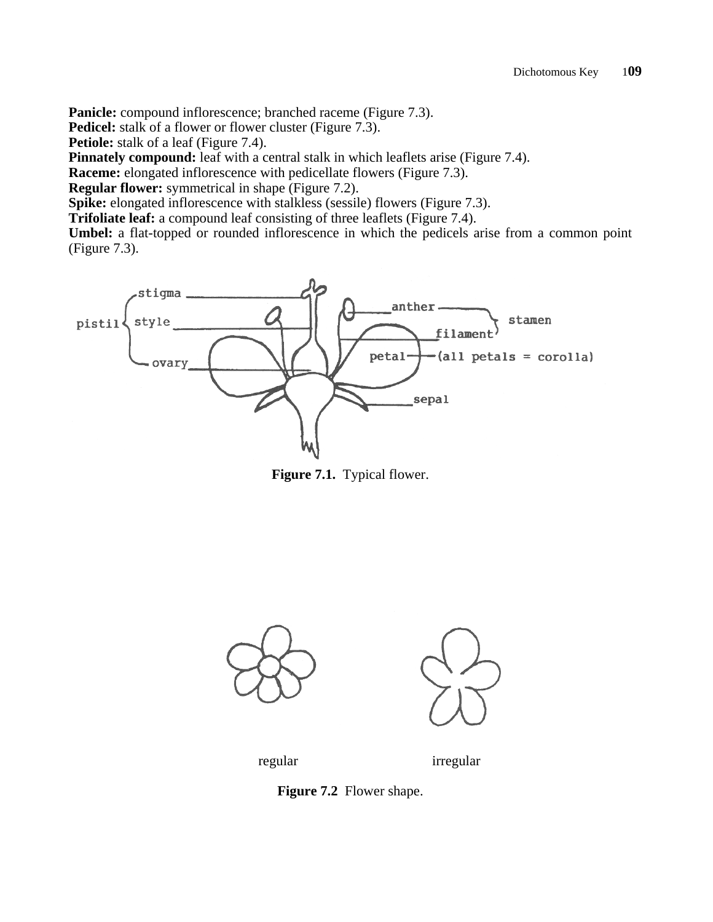**Panicle:** compound inflorescence; branched raceme (Figure 7.3).

**Pedicel:** stalk of a flower or flower cluster (Figure 7.3).

**Petiole:** stalk of a leaf (Figure 7.4).

**Pinnately compound:** leaf with a central stalk in which leaflets arise (Figure 7.4).

**Raceme:** elongated inflorescence with pedicellate flowers (Figure 7.3).

**Regular flower:** symmetrical in shape (Figure 7.2).

**Spike:** elongated inflorescence with stalkless (sessile) flowers (Figure 7.3).

**Trifoliate leaf:** a compound leaf consisting of three leaflets (Figure 7.4).

**Umbel:** a flat-topped or rounded inflorescence in which the pedicels arise from a common point (Figure 7.3).



 **Figure 7.1.** Typical flower.